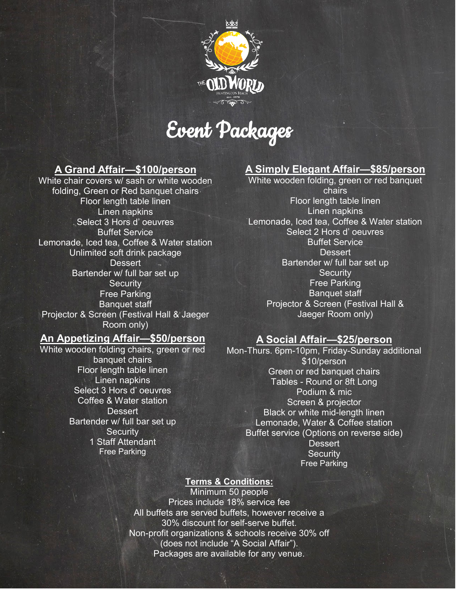

Event Packages

## **A Grand Affair—\$100/person**

White chair covers w/ sash or white wooden folding, Green or Red banquet chairs Floor length table linen Linen napkins Select 3 Hors d' oeuvres Buffet Service Lemonade, Iced tea, Coffee & Water station Unlimited soft drink package **Dessert** Bartender w/ full bar set up **Security** Free Parking Banquet staff Projector & Screen (Festival Hall & Jaeger Room only)

## **An Appetizing Affair—\$50/person**

White wooden folding chairs, green or red banquet chairs Floor length table linen Linen napkins Select 3 Hors d' oeuvres Coffee & Water station **Dessert** Bartender w/ full bar set up **Security** 1 Staff Attendant Free Parking

## **A Simply Elegant Affair—\$85/person**

White wooden folding, green or red banquet chairs Floor length table linen Linen napkins Lemonade, Iced tea, Coffee & Water station Select 2 Hors d' oeuvres Buffet Service **Dessert** Bartender w/ full bar set up **Security** Free Parking Banquet staff Projector & Screen (Festival Hall & Jaeger Room only)

### **A Social Affair—\$25/person**

Mon-Thurs. 6pm-10pm, Friday-Sunday additional \$10/person Green or red banquet chairs Tables - Round or 8ft Long Podium & mic Screen & projector Black or white mid-length linen Lemonade, Water & Coffee station Buffet service (Options on reverse side) **Dessert Security** Free Parking

#### **Terms & Conditions:**

Minimum 50 people Prices include 18% service fee All buffets are served buffets, however receive a 30% discount for self-serve buffet. Non-profit organizations & schools receive 30% off (does not include "A Social Affair"). Packages are available for any venue.